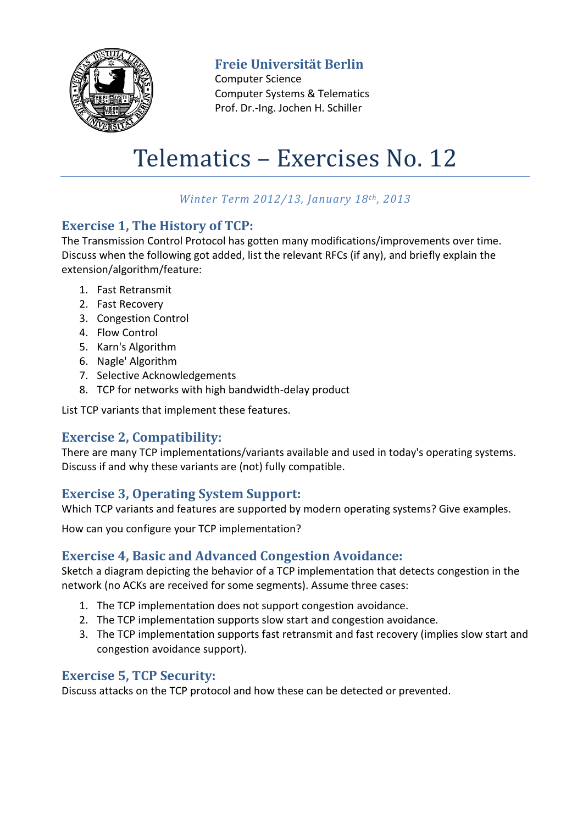

## **Freie Universität Berlin**

Computer Science Computer Systems & Telematics Prof. Dr.-Ing. Jochen H. Schiller

# Telematics – Exercises No. 12

## *Winter Term 2012/13, January 18th, 2013*

#### **Exercise 1, The History of TCP:**

The Transmission Control Protocol has gotten many modifications/improvements over time. Discuss when the following got added, list the relevant RFCs (if any), and briefly explain the extension/algorithm/feature:

- 1. Fast Retransmit
- 2. Fast Recovery
- 3. Congestion Control
- 4. Flow Control
- 5. Karn's Algorithm
- 6. Nagle' Algorithm
- 7. Selective Acknowledgements
- 8. TCP for networks with high bandwidth-delay product

List TCP variants that implement these features.

## **Exercise 2, Compatibility:**

There are many TCP implementations/variants available and used in today's operating systems. Discuss if and why these variants are (not) fully compatible.

## **Exercise 3, Operating System Support:**

Which TCP variants and features are supported by modern operating systems? Give examples.

How can you configure your TCP implementation?

#### **Exercise 4, Basic and Advanced Congestion Avoidance:**

Sketch a diagram depicting the behavior of a TCP implementation that detects congestion in the network (no ACKs are received for some segments). Assume three cases:

- 1. The TCP implementation does not support congestion avoidance.
- 2. The TCP implementation supports slow start and congestion avoidance.
- 3. The TCP implementation supports fast retransmit and fast recovery (implies slow start and congestion avoidance support).

## **Exercise 5, TCP Security:**

Discuss attacks on the TCP protocol and how these can be detected or prevented.